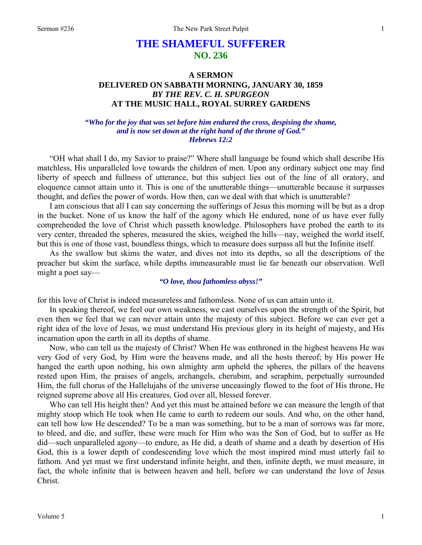# **THE SHAMEFUL SUFFERER NO. 236**

# **A SERMON DELIVERED ON SABBATH MORNING, JANUARY 30, 1859**  *BY THE REV. C. H. SPURGEON*  **AT THE MUSIC HALL, ROYAL SURREY GARDENS**

## *"Who for the joy that was set before him endured the cross, despising the shame, and is now set down at the right hand of the throne of God." Hebrews 12:2*

"OH what shall I do, my Savior to praise?" Where shall language be found which shall describe His matchless, His unparalleled love towards the children of men. Upon any ordinary subject one may find liberty of speech and fullness of utterance, but this subject lies out of the line of all oratory, and eloquence cannot attain unto it. This is one of the unutterable things—unutterable because it surpasses thought, and defies the power of words. How then, can we deal with that which is unutterable?

I am conscious that all I can say concerning the sufferings of Jesus this morning will be but as a drop in the bucket. None of us know the half of the agony which He endured, none of us have ever fully comprehended the love of Christ which passeth knowledge. Philosophers have probed the earth to its very center, threaded the spheres, measured the skies, weighed the hills—nay, weighed the world itself, but this is one of those vast, boundless things, which to measure does surpass all but the Infinite itself.

As the swallow but skims the water, and dives not into its depths, so all the descriptions of the preacher but skim the surface, while depths immeasurable must lie far beneath our observation. Well might a poet say—

#### *"O love, thou fathomless abyss!"*

for this love of Christ is indeed measureless and fathomless. None of us can attain unto it.

In speaking thereof, we feel our own weakness, we cast ourselves upon the strength of the Spirit, but even then we feel that we can never attain unto the majesty of this subject. Before we can ever get a right idea of the love of Jesus, we must understand His previous glory in its height of majesty, and His incarnation upon the earth in all its depths of shame.

Now, who can tell us the majesty of Christ? When He was enthroned in the highest heavens He was very God of very God, by Him were the heavens made, and all the hosts thereof; by His power He hanged the earth upon nothing, his own almighty arm upheld the spheres, the pillars of the heavens rested upon Him, the praises of angels, archangels, cherubim, and seraphim, perpetually surrounded Him, the full chorus of the Hallelujahs of the universe unceasingly flowed to the foot of His throne, He reigned supreme above all His creatures, God over all, blessed forever.

Who can tell His height then? And yet this must be attained before we can measure the length of that mighty stoop which He took when He came to earth to redeem our souls. And who, on the other hand, can tell how low He descended? To be a man was something, but to be a man of sorrows was far more, to bleed, and die, and suffer, these were much for Him who was the Son of God, but to suffer as He did—such unparalleled agony—to endure, as He did, a death of shame and a death by desertion of His God, this is a lower depth of condescending love which the most inspired mind must utterly fail to fathom. And yet must we first understand infinite height, and then, infinite depth, we must measure, in fact, the whole infinite that is between heaven and hell, before we can understand the love of Jesus Christ.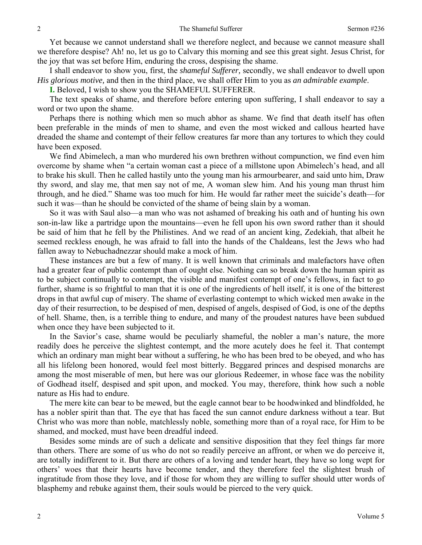Yet because we cannot understand shall we therefore neglect, and because we cannot measure shall we therefore despise? Ah! no, let us go to Calvary this morning and see this great sight. Jesus Christ, for the joy that was set before Him, enduring the cross, despising the shame.

I shall endeavor to show you, first, the *shameful Sufferer,* secondly, we shall endeavor to dwell upon *His glorious motive,* and then in the third place, we shall offer Him to you as *an admirable example*.

**I.** Beloved, I wish to show you the SHAMEFUL SUFFERER.

The text speaks of shame, and therefore before entering upon suffering, I shall endeavor to say a word or two upon the shame.

Perhaps there is nothing which men so much abhor as shame. We find that death itself has often been preferable in the minds of men to shame, and even the most wicked and callous hearted have dreaded the shame and contempt of their fellow creatures far more than any tortures to which they could have been exposed.

We find Abimelech, a man who murdered his own brethren without compunction, we find even him overcome by shame when "a certain woman cast a piece of a millstone upon Abimelech's head, and all to brake his skull. Then he called hastily unto the young man his armourbearer, and said unto him, Draw thy sword, and slay me, that men say not of me, A woman slew him. And his young man thrust him through, and he died." Shame was too much for him. He would far rather meet the suicide's death—for such it was—than he should be convicted of the shame of being slain by a woman.

So it was with Saul also—a man who was not ashamed of breaking his oath and of hunting his own son-in-law like a partridge upon the mountains—even he fell upon his own sword rather than it should be said of him that he fell by the Philistines. And we read of an ancient king, Zedekiah, that albeit he seemed reckless enough, he was afraid to fall into the hands of the Chaldeans, lest the Jews who had fallen away to Nebuchadnezzar should make a mock of him.

These instances are but a few of many. It is well known that criminals and malefactors have often had a greater fear of public contempt than of ought else. Nothing can so break down the human spirit as to be subject continually to contempt, the visible and manifest contempt of one's fellows, in fact to go further, shame is so frightful to man that it is one of the ingredients of hell itself, it is one of the bitterest drops in that awful cup of misery. The shame of everlasting contempt to which wicked men awake in the day of their resurrection, to be despised of men, despised of angels, despised of God, is one of the depths of hell. Shame, then, is a terrible thing to endure, and many of the proudest natures have been subdued when once they have been subjected to it.

In the Savior's case, shame would be peculiarly shameful, the nobler a man's nature, the more readily does he perceive the slightest contempt, and the more acutely does he feel it. That contempt which an ordinary man might bear without a suffering, he who has been bred to be obeyed, and who has all his lifelong been honored, would feel most bitterly. Beggared princes and despised monarchs are among the most miserable of men, but here was our glorious Redeemer, in whose face was the nobility of Godhead itself, despised and spit upon, and mocked. You may, therefore, think how such a noble nature as His had to endure.

The mere kite can bear to be mewed, but the eagle cannot bear to be hoodwinked and blindfolded, he has a nobler spirit than that. The eye that has faced the sun cannot endure darkness without a tear. But Christ who was more than noble, matchlessly noble, something more than of a royal race, for Him to be shamed, and mocked, must have been dreadful indeed.

Besides some minds are of such a delicate and sensitive disposition that they feel things far more than others. There are some of us who do not so readily perceive an affront, or when we do perceive it, are totally indifferent to it. But there are others of a loving and tender heart, they have so long wept for others' woes that their hearts have become tender, and they therefore feel the slightest brush of ingratitude from those they love, and if those for whom they are willing to suffer should utter words of blasphemy and rebuke against them, their souls would be pierced to the very quick.

2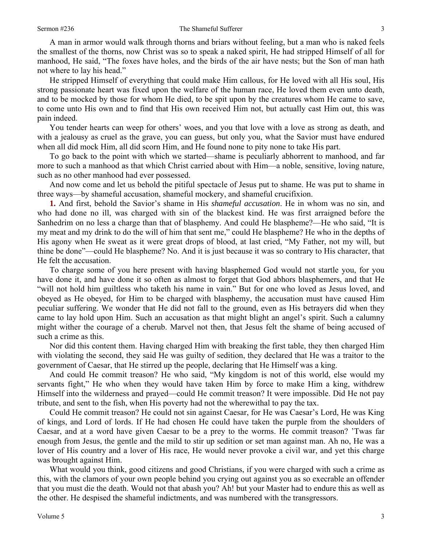A man in armor would walk through thorns and briars without feeling, but a man who is naked feels the smallest of the thorns, now Christ was so to speak a naked spirit, He had stripped Himself of all for manhood, He said, "The foxes have holes, and the birds of the air have nests; but the Son of man hath not where to lay his head."

He stripped Himself of everything that could make Him callous, for He loved with all His soul, His strong passionate heart was fixed upon the welfare of the human race, He loved them even unto death, and to be mocked by those for whom He died, to be spit upon by the creatures whom He came to save, to come unto His own and to find that His own received Him not, but actually cast Him out, this was pain indeed.

You tender hearts can weep for others' woes, and you that love with a love as strong as death, and with a jealousy as cruel as the grave, you can guess, but only you, what the Savior must have endured when all did mock Him, all did scorn Him, and He found none to pity none to take His part.

To go back to the point with which we started—shame is peculiarly abhorrent to manhood, and far more to such a manhood as that which Christ carried about with Him—a noble, sensitive, loving nature, such as no other manhood had ever possessed.

And now come and let us behold the pitiful spectacle of Jesus put to shame. He was put to shame in three ways—by shameful accusation, shameful mockery, and shameful crucifixion.

**1.** And first, behold the Savior's shame in His *shameful accusation*. He in whom was no sin, and who had done no ill, was charged with sin of the blackest kind. He was first arraigned before the Sanhedrim on no less a charge than that of blasphemy. And could He blaspheme?—He who said, "It is my meat and my drink to do the will of him that sent me," could He blaspheme? He who in the depths of His agony when He sweat as it were great drops of blood, at last cried, "My Father, not my will, but thine be done"—could He blaspheme? No. And it is just because it was so contrary to His character, that He felt the accusation.

To charge some of you here present with having blasphemed God would not startle you, for you have done it, and have done it so often as almost to forget that God abhors blasphemers, and that He "will not hold him guiltless who taketh his name in vain." But for one who loved as Jesus loved, and obeyed as He obeyed, for Him to be charged with blasphemy, the accusation must have caused Him peculiar suffering. We wonder that He did not fall to the ground, even as His betrayers did when they came to lay hold upon Him. Such an accusation as that might blight an angel's spirit. Such a calumny might wither the courage of a cherub. Marvel not then, that Jesus felt the shame of being accused of such a crime as this.

Nor did this content them. Having charged Him with breaking the first table, they then charged Him with violating the second, they said He was guilty of sedition, they declared that He was a traitor to the government of Caesar, that He stirred up the people, declaring that He Himself was a king.

And could He commit treason? He who said, "My kingdom is not of this world, else would my servants fight," He who when they would have taken Him by force to make Him a king, withdrew Himself into the wilderness and prayed—could He commit treason? It were impossible. Did He not pay tribute, and sent to the fish, when His poverty had not the wherewithal to pay the tax.

Could He commit treason? He could not sin against Caesar, for He was Caesar's Lord, He was King of kings, and Lord of lords. If He had chosen He could have taken the purple from the shoulders of Caesar, and at a word have given Caesar to be a prey to the worms. He commit treason? 'Twas far enough from Jesus, the gentle and the mild to stir up sedition or set man against man. Ah no, He was a lover of His country and a lover of His race, He would never provoke a civil war, and yet this charge was brought against Him.

What would you think, good citizens and good Christians, if you were charged with such a crime as this, with the clamors of your own people behind you crying out against you as so execrable an offender that you must die the death. Would not that abash you? Ah! but your Master had to endure this as well as the other. He despised the shameful indictments, and was numbered with the transgressors.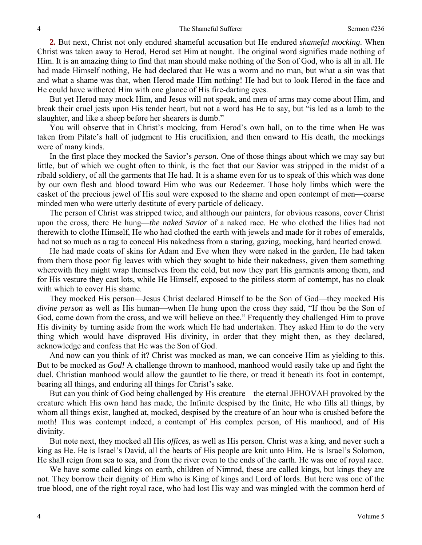**2.** But next, Christ not only endured shameful accusation but He endured *shameful mocking*. When Christ was taken away to Herod, Herod set Him at nought. The original word signifies made nothing of Him. It is an amazing thing to find that man should make nothing of the Son of God, who is all in all. He had made Himself nothing, He had declared that He was a worm and no man, but what a sin was that and what a shame was that, when Herod made Him nothing! He had but to look Herod in the face and He could have withered Him with one glance of His fire-darting eyes.

But yet Herod may mock Him, and Jesus will not speak, and men of arms may come about Him, and break their cruel jests upon His tender heart, but not a word has He to say, but "is led as a lamb to the slaughter, and like a sheep before her shearers is dumb."

You will observe that in Christ's mocking, from Herod's own hall, on to the time when He was taken from Pilate's hall of judgment to His crucifixion, and then onward to His death, the mockings were of many kinds.

In the first place they mocked the Savior's *person*. One of those things about which we may say but little, but of which we ought often to think, is the fact that our Savior was stripped in the midst of a ribald soldiery, of all the garments that He had. It is a shame even for us to speak of this which was done by our own flesh and blood toward Him who was our Redeemer. Those holy limbs which were the casket of the precious jewel of His soul were exposed to the shame and open contempt of men—coarse minded men who were utterly destitute of every particle of delicacy.

The person of Christ was stripped twice, and although our painters, for obvious reasons, cover Christ upon the cross, there He hung—*the naked Savior* of a naked race. He who clothed the lilies had not therewith to clothe Himself, He who had clothed the earth with jewels and made for it robes of emeralds, had not so much as a rag to conceal His nakedness from a staring, gazing, mocking, hard hearted crowd.

He had made coats of skins for Adam and Eve when they were naked in the garden, He had taken from them those poor fig leaves with which they sought to hide their nakedness, given them something wherewith they might wrap themselves from the cold, but now they part His garments among them, and for His vesture they cast lots, while He Himself, exposed to the pitiless storm of contempt, has no cloak with which to cover His shame.

They mocked His person—Jesus Christ declared Himself to be the Son of God—they mocked His *divine person* as well as His human—when He hung upon the cross they said, "If thou be the Son of God, come down from the cross, and we will believe on thee." Frequently they challenged Him to prove His divinity by turning aside from the work which He had undertaken. They asked Him to do the very thing which would have disproved His divinity, in order that they might then, as they declared, acknowledge and confess that He was the Son of God.

And now can you think of it? Christ was mocked as man, we can conceive Him as yielding to this. But to be mocked as *God!* A challenge thrown to manhood, manhood would easily take up and fight the duel. Christian manhood would allow the gauntlet to lie there, or tread it beneath its foot in contempt, bearing all things, and enduring all things for Christ's sake.

But can you think of God being challenged by His creature—the eternal JEHOVAH provoked by the creature which His own hand has made, the Infinite despised by the finite, He who fills all things, by whom all things exist, laughed at, mocked, despised by the creature of an hour who is crushed before the moth! This was contempt indeed, a contempt of His complex person, of His manhood, and of His divinity.

But note next, they mocked all His *offices,* as well as His person. Christ was a king, and never such a king as He. He is Israel's David, all the hearts of His people are knit unto Him. He is Israel's Solomon, He shall reign from sea to sea, and from the river even to the ends of the earth. He was one of royal race.

We have some called kings on earth, children of Nimrod, these are called kings, but kings they are not. They borrow their dignity of Him who is King of kings and Lord of lords. But here was one of the true blood, one of the right royal race, who had lost His way and was mingled with the common herd of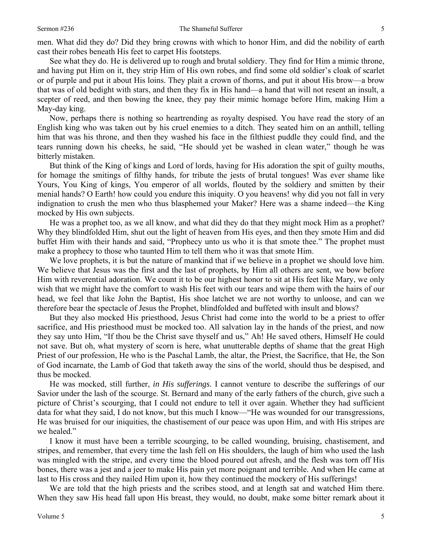men. What did they do? Did they bring crowns with which to honor Him, and did the nobility of earth cast their robes beneath His feet to carpet His footsteps.

See what they do. He is delivered up to rough and brutal soldiery. They find for Him a mimic throne, and having put Him on it, they strip Him of His own robes, and find some old soldier's cloak of scarlet or of purple and put it about His loins. They plait a crown of thorns, and put it about His brow—a brow that was of old bedight with stars, and then they fix in His hand—a hand that will not resent an insult, a scepter of reed, and then bowing the knee, they pay their mimic homage before Him, making Him a May-day king.

Now, perhaps there is nothing so heartrending as royalty despised. You have read the story of an English king who was taken out by his cruel enemies to a ditch. They seated him on an anthill, telling him that was his throne, and then they washed his face in the filthiest puddle they could find, and the tears running down his cheeks, he said, "He should yet be washed in clean water," though he was bitterly mistaken.

But think of the King of kings and Lord of lords, having for His adoration the spit of guilty mouths, for homage the smitings of filthy hands, for tribute the jests of brutal tongues! Was ever shame like Yours, You King of kings, You emperor of all worlds, flouted by the soldiery and smitten by their menial hands? O Earth! how could you endure this iniquity. O you heavens! why did you not fall in very indignation to crush the men who thus blasphemed your Maker? Here was a shame indeed—the King mocked by His own subjects.

He was a prophet too, as we all know, and what did they do that they might mock Him as a prophet? Why they blindfolded Him, shut out the light of heaven from His eyes, and then they smote Him and did buffet Him with their hands and said, "Prophecy unto us who it is that smote thee." The prophet must make a prophecy to those who taunted Him to tell them who it was that smote Him.

We love prophets, it is but the nature of mankind that if we believe in a prophet we should love him. We believe that Jesus was the first and the last of prophets, by Him all others are sent, we bow before Him with reverential adoration. We count it to be our highest honor to sit at His feet like Mary, we only wish that we might have the comfort to wash His feet with our tears and wipe them with the hairs of our head, we feel that like John the Baptist, His shoe latchet we are not worthy to unloose, and can we therefore bear the spectacle of Jesus the Prophet, blindfolded and buffeted with insult and blows?

But they also mocked His priesthood, Jesus Christ had come into the world to be a priest to offer sacrifice, and His priesthood must be mocked too. All salvation lay in the hands of the priest, and now they say unto Him, "If thou be the Christ save thyself and us," Ah! He saved others, Himself He could not save. But oh, what mystery of scorn is here, what unutterable depths of shame that the great High Priest of our profession, He who is the Paschal Lamb, the altar, the Priest, the Sacrifice, that He, the Son of God incarnate, the Lamb of God that taketh away the sins of the world, should thus be despised, and thus be mocked.

He was mocked, still further, *in His sufferings*. I cannot venture to describe the sufferings of our Savior under the lash of the scourge. St. Bernard and many of the early fathers of the church, give such a picture of Christ's scourging, that I could not endure to tell it over again. Whether they had sufficient data for what they said, I do not know, but this much I know—"He was wounded for our transgressions, He was bruised for our iniquities, the chastisement of our peace was upon Him, and with His stripes are we healed."

I know it must have been a terrible scourging, to be called wounding, bruising, chastisement, and stripes, and remember, that every time the lash fell on His shoulders, the laugh of him who used the lash was mingled with the stripe, and every time the blood poured out afresh, and the flesh was torn off His bones, there was a jest and a jeer to make His pain yet more poignant and terrible. And when He came at last to His cross and they nailed Him upon it, how they continued the mockery of His sufferings!

We are told that the high priests and the scribes stood, and at length sat and watched Him there. When they saw His head fall upon His breast, they would, no doubt, make some bitter remark about it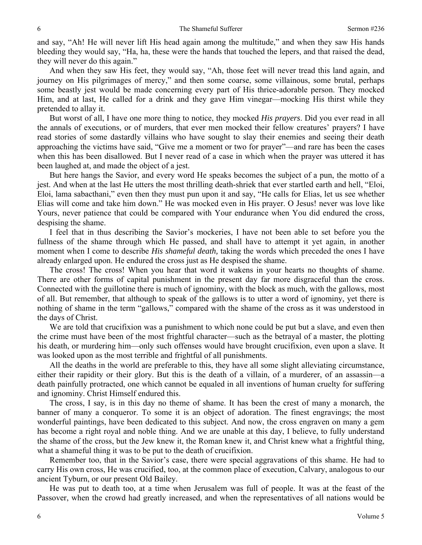and say, "Ah! He will never lift His head again among the multitude," and when they saw His hands bleeding they would say, "Ha, ha, these were the hands that touched the lepers, and that raised the dead, they will never do this again."

And when they saw His feet, they would say, "Ah, those feet will never tread this land again, and journey on His pilgrimages of mercy," and then some coarse, some villainous, some brutal, perhaps some beastly jest would be made concerning every part of His thrice-adorable person. They mocked Him, and at last, He called for a drink and they gave Him vinegar—mocking His thirst while they pretended to allay it.

But worst of all, I have one more thing to notice, they mocked *His prayers*. Did you ever read in all the annals of executions, or of murders, that ever men mocked their fellow creatures' prayers? I have read stories of some dastardly villains who have sought to slay their enemies and seeing their death approaching the victims have said, "Give me a moment or two for prayer"—and rare has been the cases when this has been disallowed. But I never read of a case in which when the prayer was uttered it has been laughed at, and made the object of a jest.

But here hangs the Savior, and every word He speaks becomes the subject of a pun, the motto of a jest. And when at the last He utters the most thrilling death-shriek that ever startled earth and hell, "Eloi, Eloi, lama sabacthani," even then they must pun upon it and say, "He calls for Elias, let us see whether Elias will come and take him down." He was mocked even in His prayer. O Jesus! never was love like Yours, never patience that could be compared with Your endurance when You did endured the cross, despising the shame.

I feel that in thus describing the Savior's mockeries, I have not been able to set before you the fullness of the shame through which He passed, and shall have to attempt it yet again, in another moment when I come to describe *His shameful death,* taking the words which preceded the ones I have already enlarged upon. He endured the cross just as He despised the shame.

The cross! The cross! When you hear that word it wakens in your hearts no thoughts of shame. There are other forms of capital punishment in the present day far more disgraceful than the cross. Connected with the guillotine there is much of ignominy, with the block as much, with the gallows, most of all. But remember, that although to speak of the gallows is to utter a word of ignominy, yet there is nothing of shame in the term "gallows," compared with the shame of the cross as it was understood in the days of Christ.

We are told that crucifixion was a punishment to which none could be put but a slave, and even then the crime must have been of the most frightful character—such as the betrayal of a master, the plotting his death, or murdering him—only such offenses would have brought crucifixion, even upon a slave. It was looked upon as the most terrible and frightful of all punishments.

All the deaths in the world are preferable to this, they have all some slight alleviating circumstance, either their rapidity or their glory. But this is the death of a villain, of a murderer, of an assassin—a death painfully protracted, one which cannot be equaled in all inventions of human cruelty for suffering and ignominy. Christ Himself endured this.

The cross, I say, is in this day no theme of shame. It has been the crest of many a monarch, the banner of many a conqueror. To some it is an object of adoration. The finest engravings; the most wonderful paintings, have been dedicated to this subject. And now, the cross engraven on many a gem has become a right royal and noble thing. And we are unable at this day, I believe, to fully understand the shame of the cross, but the Jew knew it, the Roman knew it, and Christ knew what a frightful thing, what a shameful thing it was to be put to the death of crucifixion.

Remember too, that in the Savior's case, there were special aggravations of this shame. He had to carry His own cross, He was crucified, too, at the common place of execution, Calvary, analogous to our ancient Tyburn, or our present Old Bailey.

He was put to death too, at a time when Jerusalem was full of people. It was at the feast of the Passover, when the crowd had greatly increased, and when the representatives of all nations would be

6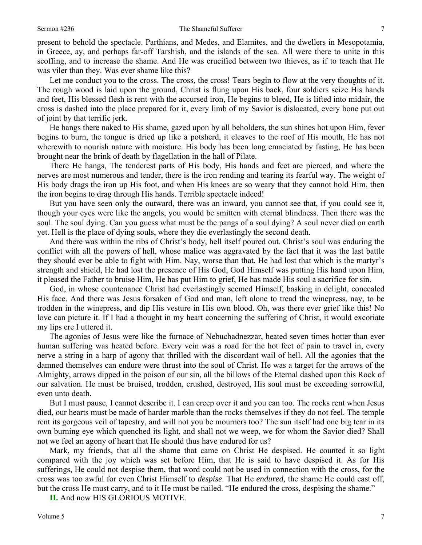present to behold the spectacle. Parthians, and Medes, and Elamites, and the dwellers in Mesopotamia, in Greece, ay, and perhaps far-off Tarshish, and the islands of the sea. All were there to unite in this scoffing, and to increase the shame. And He was crucified between two thieves, as if to teach that He was viler than they. Was ever shame like this?

Let me conduct you to the cross. The cross, the cross! Tears begin to flow at the very thoughts of it. The rough wood is laid upon the ground, Christ is flung upon His back, four soldiers seize His hands and feet, His blessed flesh is rent with the accursed iron, He begins to bleed, He is lifted into midair, the cross is dashed into the place prepared for it, every limb of my Savior is dislocated, every bone put out of joint by that terrific jerk.

He hangs there naked to His shame, gazed upon by all beholders, the sun shines hot upon Him, fever begins to burn, the tongue is dried up like a potsherd, it cleaves to the roof of His mouth, He has not wherewith to nourish nature with moisture. His body has been long emaciated by fasting, He has been brought near the brink of death by flagellation in the hall of Pilate.

There He hangs, The tenderest parts of His body, His hands and feet are pierced, and where the nerves are most numerous and tender, there is the iron rending and tearing its fearful way. The weight of His body drags the iron up His foot, and when His knees are so weary that they cannot hold Him, then the iron begins to drag through His hands. Terrible spectacle indeed!

But you have seen only the outward, there was an inward, you cannot see that, if you could see it, though your eyes were like the angels, you would be smitten with eternal blindness. Then there was the soul. The soul dying. Can you guess what must be the pangs of a soul dying? A soul never died on earth yet. Hell is the place of dying souls, where they die everlastingly the second death.

And there was within the ribs of Christ's body, hell itself poured out. Christ's soul was enduring the conflict with all the powers of hell, whose malice was aggravated by the fact that it was the last battle they should ever be able to fight with Him. Nay, worse than that. He had lost that which is the martyr's strength and shield, He had lost the presence of His God, God Himself was putting His hand upon Him, it pleased the Father to bruise Him, He has put Him to grief, He has made His soul a sacrifice for sin.

God, in whose countenance Christ had everlastingly seemed Himself, basking in delight, concealed His face. And there was Jesus forsaken of God and man, left alone to tread the winepress, nay, to be trodden in the winepress, and dip His vesture in His own blood. Oh, was there ever grief like this! No love can picture it. If I had a thought in my heart concerning the suffering of Christ, it would excoriate my lips ere I uttered it.

The agonies of Jesus were like the furnace of Nebuchadnezzar, heated seven times hotter than ever human suffering was heated before. Every vein was a road for the hot feet of pain to travel in, every nerve a string in a harp of agony that thrilled with the discordant wail of hell. All the agonies that the damned themselves can endure were thrust into the soul of Christ. He was a target for the arrows of the Almighty, arrows dipped in the poison of our sin, all the billows of the Eternal dashed upon this Rock of our salvation. He must be bruised, trodden, crushed, destroyed, His soul must be exceeding sorrowful, even unto death.

But I must pause, I cannot describe it. I can creep over it and you can too. The rocks rent when Jesus died, our hearts must be made of harder marble than the rocks themselves if they do not feel. The temple rent its gorgeous veil of tapestry, and will not you be mourners too? The sun itself had one big tear in its own burning eye which quenched its light, and shall not we weep, we for whom the Savior died? Shall not we feel an agony of heart that He should thus have endured for us?

Mark, my friends, that all the shame that came on Christ He despised. He counted it so light compared with the joy which was set before Him, that He is said to have despised it. As for His sufferings, He could not despise them, that word could not be used in connection with the cross, for the cross was too awful for even Christ Himself to *despise*. That He *endured,* the shame He could cast off, but the cross He must carry, and to it He must be nailed. "He endured the cross, despising the shame."

**II.** And now HIS GLORIOUS MOTIVE.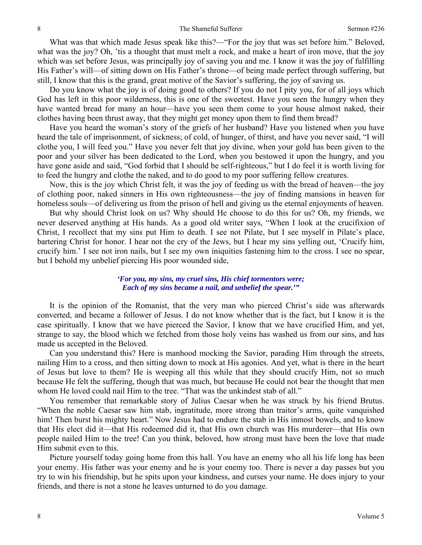What was that which made Jesus speak like this?—"For the joy that was set before him." Beloved, what was the joy? Oh, 'tis a thought that must melt a rock, and make a heart of iron move, that the joy which was set before Jesus, was principally joy of saving you and me. I know it was the joy of fulfilling His Father's will—of sitting down on His Father's throne—of being made perfect through suffering, but still, I know that this is the grand, great motive of the Savior's suffering, the joy of saving us.

Do you know what the joy is of doing good to others? If you do not I pity you, for of all joys which God has left in this poor wilderness, this is one of the sweetest. Have you seen the hungry when they have wanted bread for many an hour—have you seen them come to your house almost naked, their clothes having been thrust away, that they might get money upon them to find them bread?

Have you heard the woman's story of the griefs of her husband? Have you listened when you have heard the tale of imprisonment, of sickness; of cold, of hunger, of thirst, and have you never said, "I will clothe you, I will feed you." Have you never felt that joy divine, when your gold has been given to the poor and your silver has been dedicated to the Lord, when you bestowed it upon the hungry, and you have gone aside and said, "God forbid that I should be self-righteous," but I do feel it is worth living for to feed the hungry and clothe the naked, and to do good to my poor suffering fellow creatures.

Now, this is the joy which Christ felt, it was the joy of feeding us with the bread of heaven—the joy of clothing poor, naked sinners in His own righteousness—the joy of finding mansions in heaven for homeless souls—of delivering us from the prison of hell and giving us the eternal enjoyments of heaven.

But why should Christ look on us? Why should He choose to do this for us? Oh, my friends, we never deserved anything at His hands. As a good old writer says, "When I look at the crucifixion of Christ, I recollect that my sins put Him to death. I see not Pilate, but I see myself in Pilate's place, bartering Christ for honor. I hear not the cry of the Jews, but I hear my sins yelling out, 'Crucify him, crucify him.' I see not iron nails, but I see my own iniquities fastening him to the cross. I see no spear, but I behold my unbelief piercing His poor wounded side,

#### *'For you, my sins, my cruel sins, His chief tormentors were; Each of my sins became a nail, and unbelief the spear.'"*

It is the opinion of the Romanist, that the very man who pierced Christ's side was afterwards converted, and became a follower of Jesus. I do not know whether that is the fact, but I know it is the case spiritually. I know that we have pierced the Savior, I know that we have crucified Him, and yet, strange to say, the blood which we fetched from those holy veins has washed us from our sins, and has made us accepted in the Beloved.

Can you understand this? Here is manhood mocking the Savior, parading Him through the streets, nailing Him to a cross, and then sitting down to mock at His agonies. And yet, what is there in the heart of Jesus but love to them? He is weeping all this while that they should crucify Him, not so much because He felt the suffering, though that was much, but because He could not bear the thought that men whom He loved could nail Him to the tree. "That was the unkindest stab of all."

You remember that remarkable story of Julius Caesar when he was struck by his friend Brutus. "When the noble Caesar saw him stab, ingratitude, more strong than traitor's arms, quite vanquished him! Then burst his mighty heart." Now Jesus had to endure the stab in His inmost bowels, and to know that His elect did it—that His redeemed did it, that His own church was His murderer—that His own people nailed Him to the tree! Can you think, beloved, how strong must have been the love that made Him submit even to this.

Picture yourself today going home from this hall. You have an enemy who all his life long has been your enemy. His father was your enemy and he is your enemy too. There is never a day passes but you try to win his friendship, but he spits upon your kindness, and curses your name. He does injury to your friends, and there is not a stone he leaves unturned to do you damage.

8